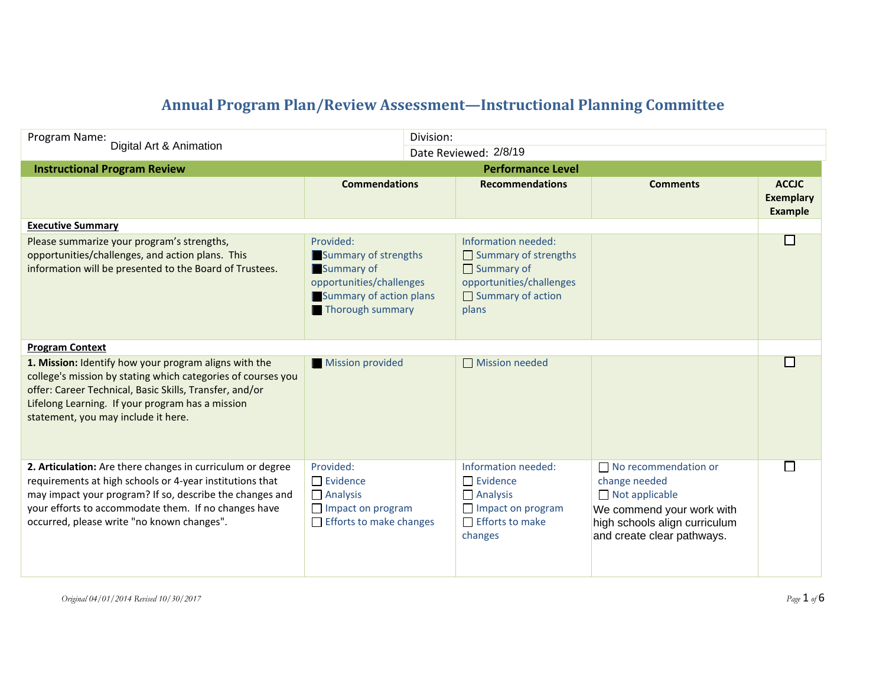## **Annual Program Plan/Review Assessment—Instructional Planning Committee**

| Program Name:                                                                                                                                                                                                                                                                            |                                                                                                                            | Division: |                                                                                                                                   |                                                                                                                                                                   |                                             |
|------------------------------------------------------------------------------------------------------------------------------------------------------------------------------------------------------------------------------------------------------------------------------------------|----------------------------------------------------------------------------------------------------------------------------|-----------|-----------------------------------------------------------------------------------------------------------------------------------|-------------------------------------------------------------------------------------------------------------------------------------------------------------------|---------------------------------------------|
| Digital Art & Animation                                                                                                                                                                                                                                                                  | Date Reviewed: 2/8/19                                                                                                      |           |                                                                                                                                   |                                                                                                                                                                   |                                             |
| <b>Instructional Program Review</b>                                                                                                                                                                                                                                                      | <b>Performance Level</b>                                                                                                   |           |                                                                                                                                   |                                                                                                                                                                   |                                             |
|                                                                                                                                                                                                                                                                                          | <b>Commendations</b>                                                                                                       |           | <b>Recommendations</b>                                                                                                            | <b>Comments</b>                                                                                                                                                   | <b>ACCJC</b><br><b>Exemplary</b><br>Example |
| <b>Executive Summary</b>                                                                                                                                                                                                                                                                 |                                                                                                                            |           |                                                                                                                                   |                                                                                                                                                                   |                                             |
| Please summarize your program's strengths,<br>opportunities/challenges, and action plans. This<br>information will be presented to the Board of Trustees.                                                                                                                                | Provided:<br>Summary of strengths<br>Summary of<br>opportunities/challenges<br>Summary of action plans<br>Thorough summary |           | Information needed:<br>Summary of strengths<br>$\Box$ Summary of<br>opportunities/challenges<br>$\Box$ Summary of action<br>plans |                                                                                                                                                                   | П                                           |
| <b>Program Context</b>                                                                                                                                                                                                                                                                   |                                                                                                                            |           |                                                                                                                                   |                                                                                                                                                                   |                                             |
| 1. Mission: Identify how your program aligns with the<br>college's mission by stating which categories of courses you<br>offer: Career Technical, Basic Skills, Transfer, and/or<br>Lifelong Learning. If your program has a mission<br>statement, you may include it here.              | Mission provided                                                                                                           |           | Mission needed                                                                                                                    |                                                                                                                                                                   | П                                           |
| 2. Articulation: Are there changes in curriculum or degree<br>requirements at high schools or 4-year institutions that<br>may impact your program? If so, describe the changes and<br>your efforts to accommodate them. If no changes have<br>occurred, please write "no known changes". | Provided:<br>$\Box$ Evidence<br>$\Box$ Analysis<br>Impact on program<br>$\Box$ Efforts to make changes                     |           | Information needed:<br>$\Box$ Evidence<br>$\Box$ Analysis<br>Impact on program<br>$\Box$ Efforts to make<br>changes               | $\Box$ No recommendation or<br>change needed<br>$\Box$ Not applicable<br>We commend your work with<br>high schools align curriculum<br>and create clear pathways. | $\Box$                                      |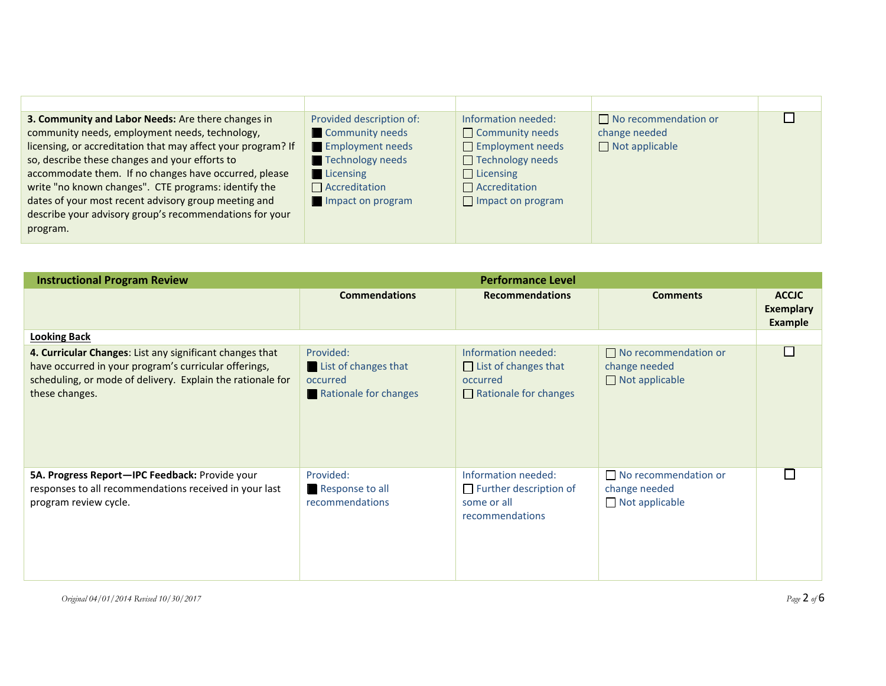| $\mathsf{L}$<br>$\Box$ No recommendation or<br>3. Community and Labor Needs: Are there changes in<br>Provided description of:<br>Information needed:<br>Community needs<br>community needs, employment needs, technology,<br>Community needs<br>change needed<br><b>Employment needs</b><br>$\Box$ Employment needs<br>licensing, or accreditation that may affect your program? If<br>$\Box$ Not applicable<br>so, describe these changes and your efforts to<br>Technology needs<br>$\Box$ Technology needs<br>accommodate them. If no changes have occurred, please<br>$\blacksquare$ Licensing<br>$\Box$ Licensing<br>write "no known changes". CTE programs: identify the<br>$\Box$ Accreditation<br>$\Box$ Accreditation<br>dates of your most recent advisory group meeting and<br>Impact on program<br>$\Box$ Impact on program |                                                         |  |  |
|-----------------------------------------------------------------------------------------------------------------------------------------------------------------------------------------------------------------------------------------------------------------------------------------------------------------------------------------------------------------------------------------------------------------------------------------------------------------------------------------------------------------------------------------------------------------------------------------------------------------------------------------------------------------------------------------------------------------------------------------------------------------------------------------------------------------------------------------|---------------------------------------------------------|--|--|
| program.                                                                                                                                                                                                                                                                                                                                                                                                                                                                                                                                                                                                                                                                                                                                                                                                                                | describe your advisory group's recommendations for your |  |  |

| <b>Instructional Program Review</b>                                                                                                                                                               | <b>Performance Level</b>                                               |                                                                                                |                                                                       |                                                    |
|---------------------------------------------------------------------------------------------------------------------------------------------------------------------------------------------------|------------------------------------------------------------------------|------------------------------------------------------------------------------------------------|-----------------------------------------------------------------------|----------------------------------------------------|
|                                                                                                                                                                                                   | <b>Commendations</b>                                                   | <b>Recommendations</b>                                                                         | <b>Comments</b>                                                       | <b>ACCJC</b><br><b>Exemplary</b><br><b>Example</b> |
| <b>Looking Back</b>                                                                                                                                                                               |                                                                        |                                                                                                |                                                                       |                                                    |
| 4. Curricular Changes: List any significant changes that<br>have occurred in your program's curricular offerings,<br>scheduling, or mode of delivery. Explain the rationale for<br>these changes. | Provided:<br>List of changes that<br>occurred<br>Rationale for changes | Information needed:<br>$\Box$ List of changes that<br>occurred<br>$\Box$ Rationale for changes | $\Box$ No recommendation or<br>change needed<br>$\Box$ Not applicable | П                                                  |
| 5A. Progress Report-IPC Feedback: Provide your<br>responses to all recommendations received in your last<br>program review cycle.                                                                 | Provided:<br>Response to all<br>recommendations                        | Information needed:<br>$\Box$ Further description of<br>some or all<br>recommendations         | $\Box$ No recommendation or<br>change needed<br>$\Box$ Not applicable | $\Box$                                             |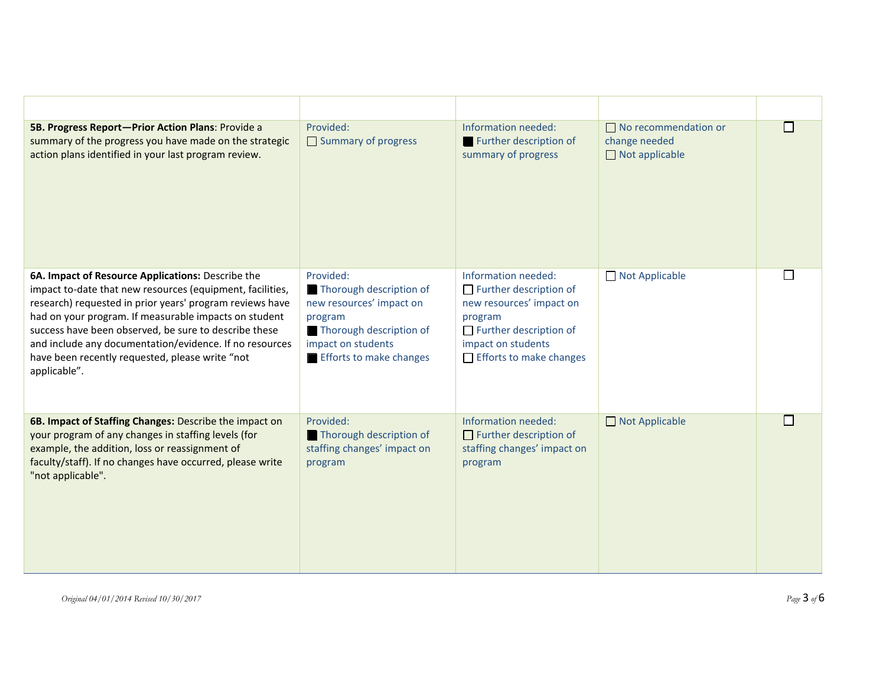| 5B. Progress Report-Prior Action Plans: Provide a<br>summary of the progress you have made on the strategic<br>action plans identified in your last program review.                                                                                                                                                                                                                                                        | Provided:<br>Summary of progress                                                                                                                               | Information needed:<br>Further description of<br>summary of progress                                                                                                                 | $\Box$ No recommendation or<br>change needed<br>$\Box$ Not applicable |  |
|----------------------------------------------------------------------------------------------------------------------------------------------------------------------------------------------------------------------------------------------------------------------------------------------------------------------------------------------------------------------------------------------------------------------------|----------------------------------------------------------------------------------------------------------------------------------------------------------------|--------------------------------------------------------------------------------------------------------------------------------------------------------------------------------------|-----------------------------------------------------------------------|--|
| 6A. Impact of Resource Applications: Describe the<br>impact to-date that new resources (equipment, facilities,<br>research) requested in prior years' program reviews have<br>had on your program. If measurable impacts on student<br>success have been observed, be sure to describe these<br>and include any documentation/evidence. If no resources<br>have been recently requested, please write "not<br>applicable". | Provided:<br>Thorough description of<br>new resources' impact on<br>program<br>Thorough description of<br>impact on students<br><b>Efforts to make changes</b> | Information needed:<br>$\Box$ Further description of<br>new resources' impact on<br>program<br>$\Box$ Further description of<br>impact on students<br>$\Box$ Efforts to make changes | Not Applicable                                                        |  |
| 6B. Impact of Staffing Changes: Describe the impact on<br>your program of any changes in staffing levels (for<br>example, the addition, loss or reassignment of<br>faculty/staff). If no changes have occurred, please write<br>"not applicable".                                                                                                                                                                          | Provided:<br>Thorough description of<br>staffing changes' impact on<br>program                                                                                 | Information needed:<br>$\Box$ Further description of<br>staffing changes' impact on<br>program                                                                                       | Not Applicable                                                        |  |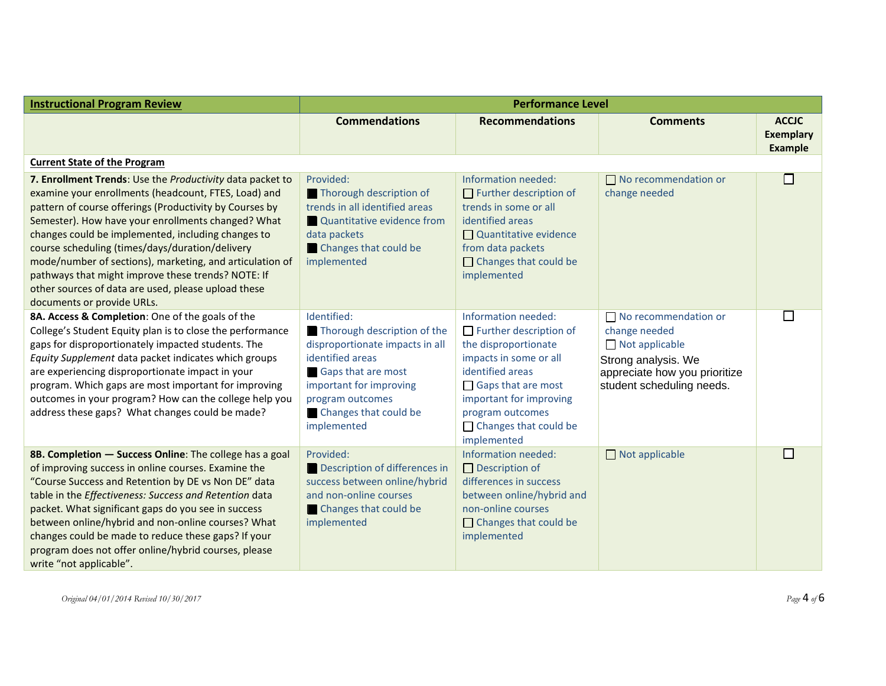| <b>Instructional Program Review</b>                                                                                                                                                                                                                                                                                                                                                                                                                                                                                                                | <b>Performance Level</b>                                                                                                                                                                                              |                                                                                                                                                                                                                                                       |                                                                                                                                                            |                                                    |
|----------------------------------------------------------------------------------------------------------------------------------------------------------------------------------------------------------------------------------------------------------------------------------------------------------------------------------------------------------------------------------------------------------------------------------------------------------------------------------------------------------------------------------------------------|-----------------------------------------------------------------------------------------------------------------------------------------------------------------------------------------------------------------------|-------------------------------------------------------------------------------------------------------------------------------------------------------------------------------------------------------------------------------------------------------|------------------------------------------------------------------------------------------------------------------------------------------------------------|----------------------------------------------------|
|                                                                                                                                                                                                                                                                                                                                                                                                                                                                                                                                                    | <b>Commendations</b>                                                                                                                                                                                                  | <b>Recommendations</b>                                                                                                                                                                                                                                | <b>Comments</b>                                                                                                                                            | <b>ACCJC</b><br><b>Exemplary</b><br><b>Example</b> |
| <b>Current State of the Program</b>                                                                                                                                                                                                                                                                                                                                                                                                                                                                                                                |                                                                                                                                                                                                                       |                                                                                                                                                                                                                                                       |                                                                                                                                                            |                                                    |
| 7. Enrollment Trends: Use the Productivity data packet to<br>examine your enrollments (headcount, FTES, Load) and<br>pattern of course offerings (Productivity by Courses by<br>Semester). How have your enrollments changed? What<br>changes could be implemented, including changes to<br>course scheduling (times/days/duration/delivery<br>mode/number of sections), marketing, and articulation of<br>pathways that might improve these trends? NOTE: If<br>other sources of data are used, please upload these<br>documents or provide URLs. | Provided:<br>Thorough description of<br>trends in all identified areas<br>Quantitative evidence from<br>data packets<br>Changes that could be<br>implemented                                                          | Information needed:<br>$\Box$ Further description of<br>trends in some or all<br>identified areas<br>$\Box$ Quantitative evidence<br>from data packets<br>$\Box$ Changes that could be<br>implemented                                                 | $\Box$ No recommendation or<br>change needed                                                                                                               | $\Box$                                             |
| 8A. Access & Completion: One of the goals of the<br>College's Student Equity plan is to close the performance<br>gaps for disproportionately impacted students. The<br>Equity Supplement data packet indicates which groups<br>are experiencing disproportionate impact in your<br>program. Which gaps are most important for improving<br>outcomes in your program? How can the college help you<br>address these gaps? What changes could be made?                                                                                               | Identified:<br>Thorough description of the<br>disproportionate impacts in all<br>identified areas<br><b>Gaps that are most</b><br>important for improving<br>program outcomes<br>Changes that could be<br>implemented | Information needed:<br>$\Box$ Further description of<br>the disproportionate<br>impacts in some or all<br>identified areas<br>$\Box$ Gaps that are most<br>important for improving<br>program outcomes<br>$\Box$ Changes that could be<br>implemented | $\Box$ No recommendation or<br>change needed<br>$\Box$ Not applicable<br>Strong analysis. We<br>appreciate how you prioritize<br>student scheduling needs. | $\Box$                                             |
| 8B. Completion - Success Online: The college has a goal<br>of improving success in online courses. Examine the<br>"Course Success and Retention by DE vs Non DE" data<br>table in the Effectiveness: Success and Retention data<br>packet. What significant gaps do you see in success<br>between online/hybrid and non-online courses? What<br>changes could be made to reduce these gaps? If your<br>program does not offer online/hybrid courses, please<br>write "not applicable".                                                             | Provided:<br>Description of differences in<br>success between online/hybrid<br>and non-online courses<br>Changes that could be<br>implemented                                                                         | Information needed:<br>$\Box$ Description of<br>differences in success<br>between online/hybrid and<br>non-online courses<br>$\Box$ Changes that could be<br>implemented                                                                              | $\Box$ Not applicable                                                                                                                                      | $\Box$                                             |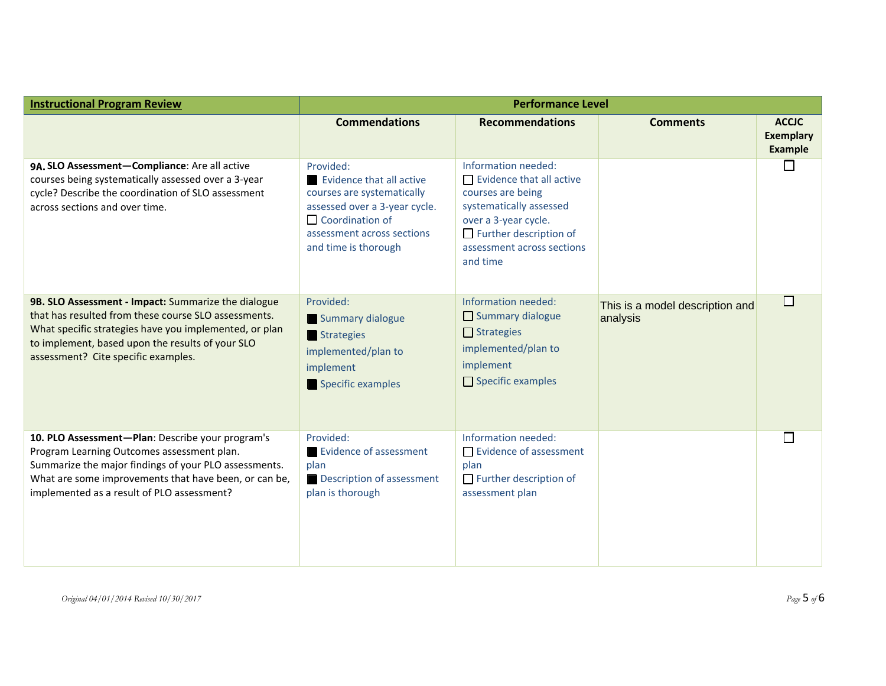| <b>Instructional Program Review</b>                                                                                                                                                                                                                              | <b>Performance Level</b>                                                                                                                                                             |                                                                                                                                                                                                           |                                             |                                                    |
|------------------------------------------------------------------------------------------------------------------------------------------------------------------------------------------------------------------------------------------------------------------|--------------------------------------------------------------------------------------------------------------------------------------------------------------------------------------|-----------------------------------------------------------------------------------------------------------------------------------------------------------------------------------------------------------|---------------------------------------------|----------------------------------------------------|
|                                                                                                                                                                                                                                                                  | <b>Commendations</b>                                                                                                                                                                 | <b>Recommendations</b>                                                                                                                                                                                    | <b>Comments</b>                             | <b>ACCJC</b><br><b>Exemplary</b><br><b>Example</b> |
| 9A. SLO Assessment-Compliance: Are all active<br>courses being systematically assessed over a 3-year<br>cycle? Describe the coordination of SLO assessment<br>across sections and over time.                                                                     | Provided:<br>Evidence that all active<br>courses are systematically<br>assessed over a 3-year cycle.<br>$\Box$ Coordination of<br>assessment across sections<br>and time is thorough | Information needed:<br>$\Box$ Evidence that all active<br>courses are being<br>systematically assessed<br>over a 3-year cycle.<br>$\Box$ Further description of<br>assessment across sections<br>and time |                                             | l I                                                |
| 9B. SLO Assessment - Impact: Summarize the dialogue<br>that has resulted from these course SLO assessments.<br>What specific strategies have you implemented, or plan<br>to implement, based upon the results of your SLO<br>assessment? Cite specific examples. | Provided:<br>Summary dialogue<br>Strategies<br>implemented/plan to<br>implement<br>Specific examples                                                                                 | Information needed:<br>$\Box$ Summary dialogue<br>$\Box$ Strategies<br>implemented/plan to<br>implement<br>$\Box$ Specific examples                                                                       | This is a model description and<br>analysis | П                                                  |
| 10. PLO Assessment-Plan: Describe your program's<br>Program Learning Outcomes assessment plan.<br>Summarize the major findings of your PLO assessments.<br>What are some improvements that have been, or can be,<br>implemented as a result of PLO assessment?   | Provided:<br><b>Evidence of assessment</b><br>plan<br>Description of assessment<br>plan is thorough                                                                                  | Information needed:<br>$\Box$ Evidence of assessment<br>plan<br>$\Box$ Further description of<br>assessment plan                                                                                          |                                             | П                                                  |